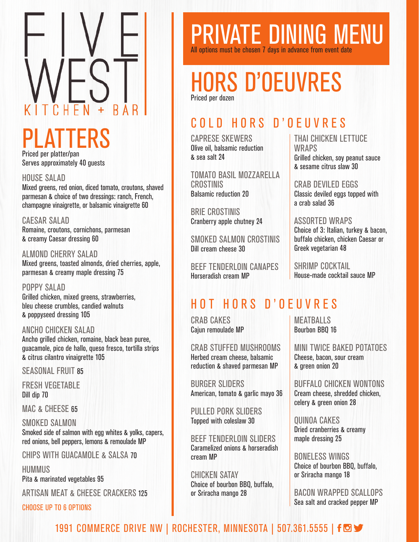### PLATTERS Priced per platter/pan

Serves approximately 40 guests

#### HOUSE SALAD

Mixed greens, red onion, diced tomato, croutons, shaved parmesan & choice of two dressings: ranch, French, champagne vinaigrette, or balsamic vinaigrette 60

CAESAR SALAD Romaine, croutons, cornichons, parmesan & creamy Caesar dressing 60

ALMOND CHERRY SALAD Mixed greens, toasted almonds, dried cherries, apple, parmesan & creamy maple dressing 75

POPPY SALAD Grilled chicken, mixed greens, strawberries, bleu cheese crumbles, candied walnuts & poppyseed dressing 105

#### ANCHO CHICKEN SALAD

Ancho grilled chicken, romaine, black bean puree, guacamole, pico de hallo, queso fresco, tortilla strips & citrus cilantro vinaigrette 105

SEASONAL FRUIT 85

FRESH VEGETABLE Dill dip 70

MAC & CHEESE 65

SMOKED SALMON Smoked side of salmon with egg whites & yolks, capers, red onions, bell peppers, lemons & remoulade MP

CHIPS WITH GUACAMOLE & SALSA 70

HUMMUS

Pita & marinated vegetables 95

ARTISAN MEAT & CHEESE CRACKERS 125

CHOOSE UP TO 6 OPTIONS

## PRIVATE DINING MENU All options must be chosen 7 days in advance from event date

## HORS D'OEUVRES Priced per dozen

## COLD HORS D'OEUVRES

CAPRESE SKEWERS Olive oil, balsamic reduction & sea salt 24

TOMATO BASIL MOZZARELLA CROSTINIS Balsamic reduction 20

BRIE CROSTINIS Cranberry apple chutney 24

SMOKED SALMON CROSTINIS Dill cream cheese 30

BEEF TENDERLOIN CANAPES Horseradish cream MP

#### THAI CHICKEN LETTUCE **WRAPS** Grilled chicken, soy peanut sauce & sesame citrus slaw 30

CRAB DEVILED EGGS Classic deviled eggs topped with a crab salad 36

#### ASSORTED WRAPS

Choice of 3: Italian, turkey & bacon, buffalo chicken, chicken Caesar or Greek vegetarian 48

SHRIMP COCKTAIL House-made cocktail sauce MP

### HOT HORS D'OEUVRES

CRAB CAKES Cajun remoulade MP

CRAB STUFFED MUSHROOMS Herbed cream cheese, balsamic reduction & shaved parmesan MP

BURGER SLIDERS American, tomato & garlic mayo 36

PULLED PORK SLIDERS Topped with coleslaw 30

BEEF TENDERLOIN SLIDERS Caramelized onions & horseradish cream MP

CHICKEN SATAY Choice of bourbon BBQ, buffalo, or Sriracha mango 28

MEATBALLS Bourbon BBQ 16

MINI TWICE BAKED POTATOES Cheese, bacon, sour cream & green onion 20

BUFFALO CHICKEN WONTONS Cream cheese, shredded chicken, celery & green onion 28

QUINOA CAKES Dried cranberries & creamy maple dressing 25

BONELESS WINGS Choice of bourbon BBQ, buffalo, or Sriracha mango 18

BACON WRAPPED SCALLOPS Sea salt and cracked pepper MP

### 1991 COMMERCE DRIVE NW | ROCHESTER, MINNESOTA | 507.361.5555 | f <a>